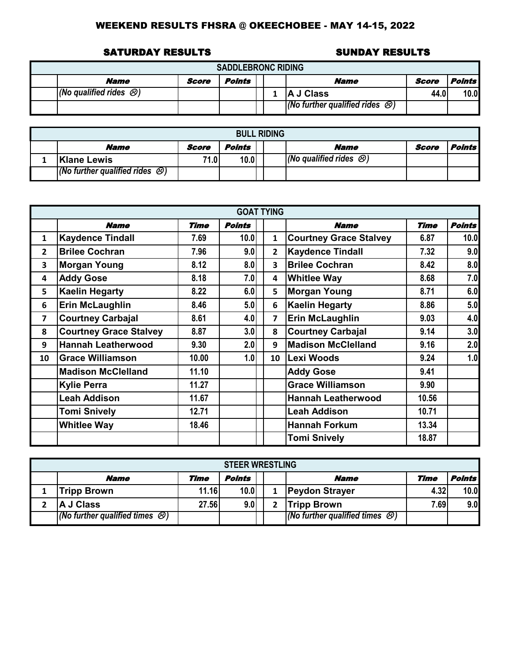#### SATURDAY RESULTS SUNDAY RESULTS

| <b>SADDLEBRONC RIDING</b>            |       |        |  |  |                                                             |       |                      |  |  |  |  |  |
|--------------------------------------|-------|--------|--|--|-------------------------------------------------------------|-------|----------------------|--|--|--|--|--|
| <b>Name</b>                          | Score | Points |  |  | Name                                                        | Score | <i><b>Points</b></i> |  |  |  |  |  |
| $(No$ qualified rides $\mathcal{O})$ |       |        |  |  | <b>IA J Class</b>                                           | 44.0' | 10.0                 |  |  |  |  |  |
|                                      |       |        |  |  | $\sqrt{(N\sigma)}$ further qualified rides $\mathcal{O}(N)$ |       |                      |  |  |  |  |  |

| <b>BULL RIDING</b>                           |       |        |  |  |                                         |       |                      |  |  |  |  |  |
|----------------------------------------------|-------|--------|--|--|-----------------------------------------|-------|----------------------|--|--|--|--|--|
| <b>Name</b>                                  | Score | Points |  |  | Name                                    | Score | <i><b>Points</b></i> |  |  |  |  |  |
| Klane Lewis                                  | 71.0  | 10.0   |  |  | $ $ (No qualified rides $\mathcal{B}$ ) |       |                      |  |  |  |  |  |
| $(No$ further qualified rides $\mathcal{B})$ |       |        |  |  |                                         |       |                      |  |  |  |  |  |

|                |                               |       | <b>GOAT TYING</b> |              |                               |             |               |
|----------------|-------------------------------|-------|-------------------|--------------|-------------------------------|-------------|---------------|
|                | <b>Name</b>                   | Time  | <b>Points</b>     |              | <b>Name</b>                   | <b>Time</b> | <b>Points</b> |
| 1              | <b>Kaydence Tindall</b>       | 7.69  | 10.0              | 1            | <b>Courtney Grace Stalvey</b> | 6.87        | 10.0          |
| $\overline{2}$ | <b>Brilee Cochran</b>         | 7.96  | 9.0               | $\mathbf{2}$ | Kaydence Tindall              | 7.32        | 9.0           |
| 3              | <b>Morgan Young</b>           | 8.12  | 8.0               | 3            | <b>Brilee Cochran</b>         | 8.42        | 8.0           |
| 4              | <b>Addy Gose</b>              | 8.18  | 7.0               | 4            | <b>Whitlee Way</b>            | 8.68        | 7.0           |
| 5              | <b>Kaelin Hegarty</b>         | 8.22  | 6.0               | 5            | <b>Morgan Young</b>           | 8.71        | 6.0           |
| 6              | <b>Erin McLaughlin</b>        | 8.46  | 5.0               | 6            | Kaelin Hegarty                | 8.86        | 5.0           |
| 7              | <b>Courtney Carbajal</b>      | 8.61  | 4.0               | 7            | <b>Erin McLaughlin</b>        | 9.03        | 4.0           |
| 8              | <b>Courtney Grace Stalvey</b> | 8.87  | 3.0               | 8            | <b>Courtney Carbajal</b>      | 9.14        | 3.0           |
| 9              | <b>Hannah Leatherwood</b>     | 9.30  | 2.0               | 9            | <b>Madison McClelland</b>     | 9.16        | 2.0           |
| 10             | <b>Grace Williamson</b>       | 10.00 | 1.0               | 10           | Lexi Woods                    | 9.24        | 1.0           |
|                | <b>Madison McClelland</b>     | 11.10 |                   |              | <b>Addy Gose</b>              | 9.41        |               |
|                | <b>Kylie Perra</b>            | 11.27 |                   |              | <b>Grace Williamson</b>       | 9.90        |               |
|                | <b>Leah Addison</b>           | 11.67 |                   |              | <b>Hannah Leatherwood</b>     | 10.56       |               |
|                | <b>Tomi Snively</b>           | 12.71 |                   |              | <b>Leah Addison</b>           | 10.71       |               |
|                | <b>Whitlee Way</b>            | 18.46 |                   |              | <b>Hannah Forkum</b>          | 13.34       |               |
|                |                               |       |                   |              | <b>Tomi Snively</b>           | 18.87       |               |

| <b>STEER WRESTLING</b>                         |       |        |  |  |                                                |      |                      |  |  |  |  |
|------------------------------------------------|-------|--------|--|--|------------------------------------------------|------|----------------------|--|--|--|--|
| <b>Name</b>                                    | Time  | Points |  |  | <b>Name</b>                                    | Time | <i><b>Points</b></i> |  |  |  |  |
| <b>Tripp Brown</b>                             | 11.16 | 10.0   |  |  | <b>Peydon Strayer</b>                          | 4.32 | 10.0                 |  |  |  |  |
| A J Class                                      | 27.56 | 9.0    |  |  | <b>Tripp Brown</b>                             | 7.69 | 9.0                  |  |  |  |  |
| $(No$ further qualified times $\mathcal{O}(n)$ |       |        |  |  | $(No$ further qualified times $\bigcircled{S}$ |      |                      |  |  |  |  |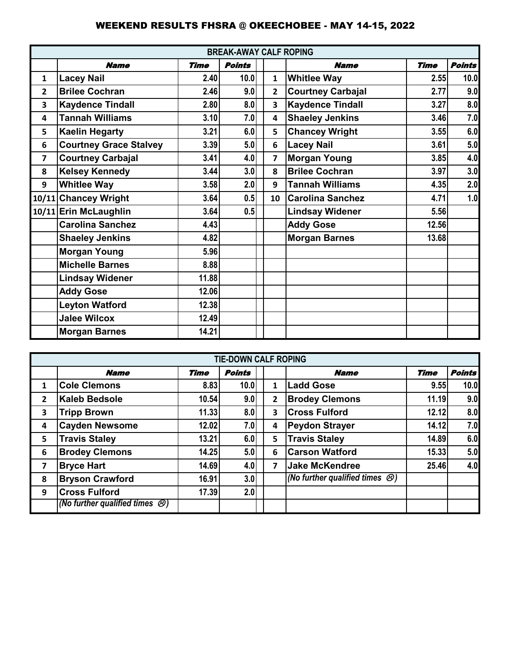|                 | <b>BREAK-AWAY CALF ROPING</b> |             |               |  |                         |                          |             |               |
|-----------------|-------------------------------|-------------|---------------|--|-------------------------|--------------------------|-------------|---------------|
|                 | <b>Name</b>                   | <b>Time</b> | <b>Points</b> |  |                         | <b>Name</b>              | <b>Time</b> | <b>Points</b> |
| $\mathbf{1}$    | <b>Lacey Nail</b>             | 2.40        | 10.0          |  | $\mathbf{1}$            | <b>Whitlee Way</b>       | 2.55        | 10.0          |
| $\mathbf{2}$    | <b>Brilee Cochran</b>         | 2.46        | 9.0           |  | $\overline{2}$          | <b>Courtney Carbajal</b> | 2.77        | 9.0           |
| 3               | <b>Kaydence Tindall</b>       | 2.80        | 8.0           |  | 3                       | <b>Kaydence Tindall</b>  | 3.27        | 8.0           |
| 4               | <b>Tannah Williams</b>        | 3.10        | 7.0           |  | $\overline{\mathbf{4}}$ | <b>Shaeley Jenkins</b>   | 3.46        | 7.0           |
| 5               | <b>Kaelin Hegarty</b>         | 3.21        | 6.0           |  | 5                       | <b>Chancey Wright</b>    | 3.55        | 6.0           |
| $6\phantom{1}6$ | <b>Courtney Grace Stalvey</b> | 3.39        | 5.0           |  | 6                       | <b>Lacey Nail</b>        | 3.61        | 5.0           |
| 7               | <b>Courtney Carbajal</b>      | 3.41        | 4.0           |  | 7                       | <b>Morgan Young</b>      | 3.85        | 4.0           |
| 8               | <b>Kelsey Kennedy</b>         | 3.44        | 3.0           |  | 8                       | <b>Brilee Cochran</b>    | 3.97        | 3.0           |
| 9               | <b>Whitlee Way</b>            | 3.58        | 2.0           |  | 9                       | <b>Tannah Williams</b>   | 4.35        | 2.0           |
|                 | 10/11 Chancey Wright          | 3.64        | 0.5           |  | 10                      | <b>Carolina Sanchez</b>  | 4.71        | 1.0           |
|                 | 10/11 Erin McLaughlin         | 3.64        | 0.5           |  |                         | <b>Lindsay Widener</b>   | 5.56        |               |
|                 | <b>Carolina Sanchez</b>       | 4.43        |               |  |                         | <b>Addy Gose</b>         | 12.56       |               |
|                 | <b>Shaeley Jenkins</b>        | 4.82        |               |  |                         | <b>Morgan Barnes</b>     | 13.68       |               |
|                 | <b>Morgan Young</b>           | 5.96        |               |  |                         |                          |             |               |
|                 | <b>Michelle Barnes</b>        | 8.88        |               |  |                         |                          |             |               |
|                 | <b>Lindsay Widener</b>        | 11.88       |               |  |                         |                          |             |               |
|                 | <b>Addy Gose</b>              | 12.06       |               |  |                         |                          |             |               |
|                 | <b>Leyton Watford</b>         | 12.38       |               |  |                         |                          |             |               |
|                 | <b>Jalee Wilcox</b>           | 12.49       |               |  |                         |                          |             |               |
|                 | <b>Morgan Barnes</b>          | 14.21       |               |  |                         |                          |             |               |

|                |                                              |             | <b>TIE-DOWN CALF ROPING</b> |   |                                                |             |               |
|----------------|----------------------------------------------|-------------|-----------------------------|---|------------------------------------------------|-------------|---------------|
|                | <b>Name</b>                                  | <b>Time</b> | <b>Points</b>               |   | <b>Name</b>                                    | <b>Time</b> | <b>Points</b> |
| 1              | <b>Cole Clemons</b>                          | 8.83        | 10.0                        | 1 | <b>Ladd Gose</b>                               | 9.55        | 10.0          |
| $\overline{2}$ | <b>Kaleb Bedsole</b>                         | 10.54       | 9.0                         | 2 | <b>Brodey Clemons</b>                          | 11.19       | 9.0           |
| 3              | <b>Tripp Brown</b>                           | 11.33       | 8.0                         | 3 | <b>Cross Fulford</b>                           | 12.12       | 8.0           |
| 4              | <b>Cayden Newsome</b>                        | 12.02       | 7.0                         | 4 | <b>Peydon Strayer</b>                          | 14.12       | 7.0           |
| 5              | <b>Travis Staley</b>                         | 13.21       | 6.0                         | 5 | <b>Travis Staley</b>                           | 14.89       | 6.0           |
| 6              | <b>Brodey Clemons</b>                        | 14.25       | 5.0                         | 6 | <b>Carson Watford</b>                          | 15.33       | 5.0           |
| 7              | <b>Bryce Hart</b>                            | 14.69       | 4.0                         | 7 | <b>Jake McKendree</b>                          | 25.46       | 4.0           |
| 8              | <b>Bryson Crawford</b>                       | 16.91       | 3.0                         |   | (No further qualified times $\bigcircled{S}$ ) |             |               |
| 9              | <b>Cross Fulford</b>                         | 17.39       | 2.0                         |   |                                                |             |               |
|                | (No further qualified times $\mathcal{O}(n)$ |             |                             |   |                                                |             |               |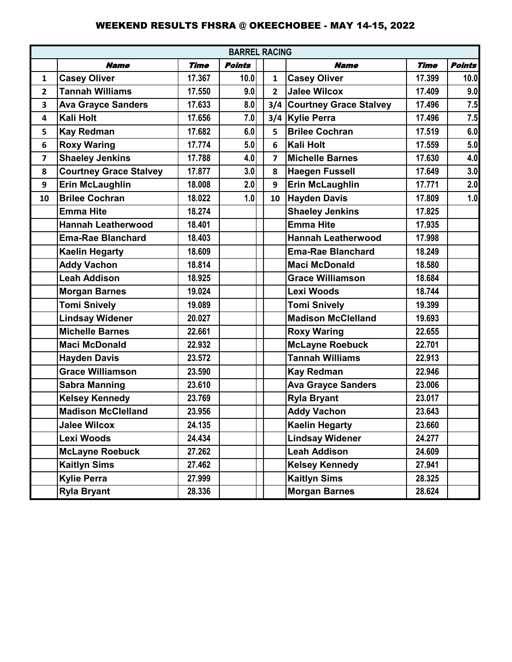|                         |                               |             |               | <b>BARREL RACING</b>    |                            |             |               |  |  |  |  |  |  |
|-------------------------|-------------------------------|-------------|---------------|-------------------------|----------------------------|-------------|---------------|--|--|--|--|--|--|
|                         | <b>Name</b>                   | <b>Time</b> | <b>Points</b> |                         | <b>Name</b>                | <b>Time</b> | <b>Points</b> |  |  |  |  |  |  |
| 1                       | <b>Casey Oliver</b>           | 17.367      | 10.0          | $\mathbf{1}$            | <b>Casey Oliver</b>        | 17.399      | 10.0          |  |  |  |  |  |  |
| $\overline{2}$          | <b>Tannah Williams</b>        | 17.550      | 9.0           | $\overline{2}$          | <b>Jalee Wilcox</b>        | 17.409      | 9.0           |  |  |  |  |  |  |
| 3                       | <b>Ava Grayce Sanders</b>     | 17.633      | 8.0           |                         | 3/4 Courtney Grace Stalvey | 17.496      | 7.5           |  |  |  |  |  |  |
| 4                       | <b>Kali Holt</b>              | 17.656      | 7.0           | 3/4                     | <b>Kylie Perra</b>         | 17.496      | 7.5           |  |  |  |  |  |  |
| 5                       | <b>Kay Redman</b>             | 17.682      | 6.0           | 5                       | <b>Brilee Cochran</b>      | 17.519      | 6.0           |  |  |  |  |  |  |
| 6                       | <b>Roxy Waring</b>            | 17.774      | 5.0           | 6                       | <b>Kali Holt</b>           | 17.559      | 5.0           |  |  |  |  |  |  |
| $\overline{\mathbf{z}}$ | <b>Shaeley Jenkins</b>        | 17.788      | 4.0           | $\overline{\mathbf{z}}$ | <b>Michelle Barnes</b>     | 17.630      | 4.0           |  |  |  |  |  |  |
| 8                       | <b>Courtney Grace Stalvey</b> | 17.877      | 3.0           | 8                       | <b>Haegen Fussell</b>      | 17.649      | 3.0           |  |  |  |  |  |  |
| $\boldsymbol{9}$        | <b>Erin McLaughlin</b>        | 18.008      | 2.0           | 9                       | <b>Erin McLaughlin</b>     | 17.771      | 2.0           |  |  |  |  |  |  |
| 10                      | <b>Brilee Cochran</b>         | 18.022      | 1.0           | 10                      | <b>Hayden Davis</b>        | 17.809      | 1.0           |  |  |  |  |  |  |
|                         | <b>Emma Hite</b>              | 18.274      |               |                         | <b>Shaeley Jenkins</b>     | 17.825      |               |  |  |  |  |  |  |
|                         | <b>Hannah Leatherwood</b>     | 18.401      |               |                         | <b>Emma Hite</b>           | 17.935      |               |  |  |  |  |  |  |
|                         | <b>Ema-Rae Blanchard</b>      | 18.403      |               |                         | <b>Hannah Leatherwood</b>  | 17.998      |               |  |  |  |  |  |  |
|                         | <b>Kaelin Hegarty</b>         | 18.609      |               |                         | <b>Ema-Rae Blanchard</b>   | 18.249      |               |  |  |  |  |  |  |
|                         | <b>Addy Vachon</b>            | 18.814      |               |                         | <b>Maci McDonald</b>       | 18.580      |               |  |  |  |  |  |  |
|                         | <b>Leah Addison</b>           | 18.925      |               |                         | <b>Grace Williamson</b>    | 18.684      |               |  |  |  |  |  |  |
|                         | <b>Morgan Barnes</b>          | 19.024      |               |                         | Lexi Woods                 | 18.744      |               |  |  |  |  |  |  |
|                         | <b>Tomi Snively</b>           | 19.089      |               |                         | <b>Tomi Snively</b>        | 19.399      |               |  |  |  |  |  |  |
|                         | <b>Lindsay Widener</b>        | 20.027      |               |                         | <b>Madison McClelland</b>  | 19.693      |               |  |  |  |  |  |  |
|                         | <b>Michelle Barnes</b>        | 22.661      |               |                         | <b>Roxy Waring</b>         | 22.655      |               |  |  |  |  |  |  |
|                         | <b>Maci McDonald</b>          | 22.932      |               |                         | <b>McLayne Roebuck</b>     | 22.701      |               |  |  |  |  |  |  |
|                         | <b>Hayden Davis</b>           | 23.572      |               |                         | <b>Tannah Williams</b>     | 22.913      |               |  |  |  |  |  |  |
|                         | <b>Grace Williamson</b>       | 23.590      |               |                         | <b>Kay Redman</b>          | 22.946      |               |  |  |  |  |  |  |
|                         | <b>Sabra Manning</b>          | 23.610      |               |                         | <b>Ava Grayce Sanders</b>  | 23,006      |               |  |  |  |  |  |  |
|                         | <b>Kelsey Kennedy</b>         | 23.769      |               |                         | <b>Ryla Bryant</b>         | 23.017      |               |  |  |  |  |  |  |
|                         | <b>Madison McClelland</b>     | 23.956      |               |                         | <b>Addy Vachon</b>         | 23.643      |               |  |  |  |  |  |  |
|                         | <b>Jalee Wilcox</b>           | 24.135      |               |                         | <b>Kaelin Hegarty</b>      | 23.660      |               |  |  |  |  |  |  |
|                         | Lexi Woods                    | 24.434      |               |                         | <b>Lindsay Widener</b>     | 24.277      |               |  |  |  |  |  |  |
|                         | <b>McLayne Roebuck</b>        | 27.262      |               |                         | <b>Leah Addison</b>        | 24.609      |               |  |  |  |  |  |  |
|                         | <b>Kaitlyn Sims</b>           | 27.462      |               |                         | <b>Kelsey Kennedy</b>      | 27.941      |               |  |  |  |  |  |  |
|                         | <b>Kylie Perra</b>            | 27.999      |               |                         | <b>Kaitlyn Sims</b>        | 28.325      |               |  |  |  |  |  |  |
|                         | <b>Ryla Bryant</b>            | 28.336      |               |                         | <b>Morgan Barnes</b>       | 28.624      |               |  |  |  |  |  |  |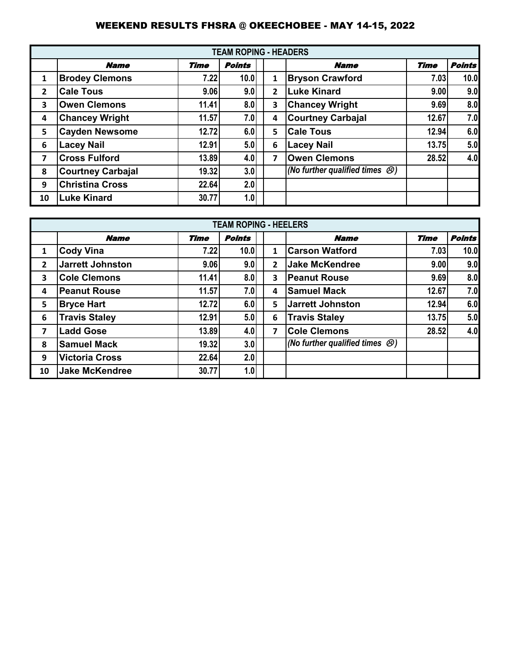|                |                          |              | <b>TEAM ROPING - HEADERS</b> |   |                                              |             |               |
|----------------|--------------------------|--------------|------------------------------|---|----------------------------------------------|-------------|---------------|
|                | <b>Name</b>              | <b>Time</b>  | <b>Points</b>                |   | <b>Name</b>                                  | <b>Time</b> | <b>Points</b> |
| $\mathbf{1}$   | <b>Brodey Clemons</b>    | 7.22         | 10.0                         | 1 | <b>Bryson Crawford</b>                       | 7.03        | 10.0          |
| $\overline{2}$ | <b>Cale Tous</b>         | 9.06         | 9.0                          | 2 | <b>Luke Kinard</b>                           | 9.00        | 9.0           |
| 3              | <b>Owen Clemons</b>      | 11.41        | 8.0                          | 3 | <b>Chancey Wright</b>                        | 9.69        | 8.0           |
| 4              | <b>Chancey Wright</b>    | 11.57        | 7.0                          | 4 | <b>Courtney Carbajal</b>                     | 12.67       | 7.0           |
| 5              | <b>Cayden Newsome</b>    | <b>12.72</b> | 6.0                          | 5 | <b>Cale Tous</b>                             | 12.94       | 6.0           |
| 6              | <b>Lacey Nail</b>        | 12.91        | 5.0                          | 6 | <b>Lacey Nail</b>                            | 13.75       | 5.0           |
| 7              | <b>Cross Fulford</b>     | 13.89        | 4.0                          | 7 | <b>Owen Clemons</b>                          | 28.52       | 4.0           |
| 8              | <b>Courtney Carbajal</b> | 19.32        | 3.0                          |   | (No further qualified times $\mathcal{O}(n)$ |             |               |
| 9              | <b>Christina Cross</b>   | 22.64        | 2.0                          |   |                                              |             |               |
| 10             | <b>Luke Kinard</b>       | 30.77        | 1.0                          |   |                                              |             |               |

|                         |                         |             | <b>TEAM ROPING - HEELERS</b> |              |                                          |             |               |
|-------------------------|-------------------------|-------------|------------------------------|--------------|------------------------------------------|-------------|---------------|
|                         | <b>Name</b>             | <b>Time</b> | <b>Points</b>                |              | <b>Name</b>                              | <b>Time</b> | <b>Points</b> |
| 1                       | <b>Cody Vina</b>        | 7.22        | 10.0                         | $\mathbf{1}$ | <b>Carson Watford</b>                    | 7.03        | 10.0          |
| $\overline{2}$          | <b>Jarrett Johnston</b> | 9.06        | 9.0                          | 2            | <b>Jake McKendree</b>                    | 9.00        | 9.0           |
| 3                       | <b>Cole Clemons</b>     | 11.41       | 8.0                          | 3            | <b>Peanut Rouse</b>                      | 9.69        | 8.0           |
| 4                       | <b>Peanut Rouse</b>     | 11.57       | 7.0                          | 4            | <b>Samuel Mack</b>                       | 12.67       | 7.0           |
| 5                       | <b>Bryce Hart</b>       | 12.72       | 6.0                          | 5            | <b>Jarrett Johnston</b>                  | 12.94       | 6.0           |
| 6                       | <b>Travis Staley</b>    | 12.91       | 5.0                          | 6            | <b>Travis Staley</b>                     | 13.75       | 5.0           |
| $\overline{\mathbf{z}}$ | <b>Ladd Gose</b>        | 13.89       | 4.0                          | 7            | <b>Cole Clemons</b>                      | 28.52       | 4.0           |
| 8                       | <b>Samuel Mack</b>      | 19.32       | 3.0                          |              | (No further qualified times $\bigcirc$ ) |             |               |
| 9                       | <b>Victoria Cross</b>   | 22.64       | 2.0                          |              |                                          |             |               |
| 10                      | <b>Jake McKendree</b>   | 30.77       | 1.0                          |              |                                          |             |               |